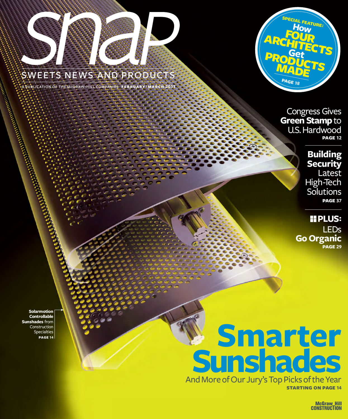

### sweets news and products

a publication of the mcgraw-hill companies **february** / **march 2011**



Congress Gives **Green Stamp** to U.S. Hardwood **page 12**

> **Building Security** Latest High-Tech **Solutions page 37**

**PLUS:** LEDs **Go Organic page 29**

**Solarmotion Controllable Sunshades** from Construction Specialties

# **PAGE 14 14 Smarting Sunshades** And More of Our Jury's Top Picks of the Year

**starting on page 14**

**McGraw\_Hill CONSTRUCTION**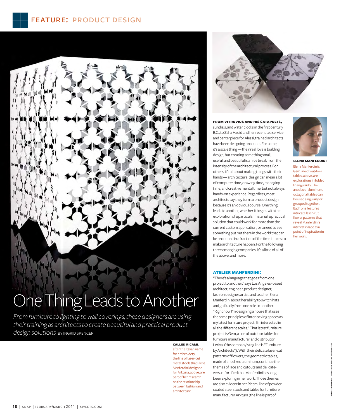

## One Thing Leads to Another

From furniture to lighting to wall coverings, these designers are using their training as architects to create beautiful and practical product design solutions BY INGRID SPENCER

> **CALLED RICAMI,** after the Italian name for embroidery. the line of laser-cut metal stools that Elena Manferdini designed for Arktura, above, are part of her research on the relationship between fashion and architecture.



**FROM VITRUVIUS AND HIS CATAPULTS,** sundials, and water clocks in the first century B.C., to Zaha Hadid and her recent tea service and centerpiece for Alessi, trained architects have been designing products. For some, it's a scale thing - their real love is building design, but creating something small, useful, and beautiful is a nice break from the intensity of the architectural process. For others, it's all about making things with their hands - architectural design can mean a lot of computer time, drawing time, managing time, and creative mental time, but not always hands-on experience. Regardless, most architects say they turn to product design because it's an obvious course: One thing leads to another, whether it begins with the exploration of a particular material, a practical solution that could work for more than the current custom application, or a need to see something put out there in the world that can be produced in a fraction of the time it takes to make architecture happen. For the following three emerging companies, it's a little of all of the above, and more.



**ELENA MANFERDIN** Elena Manferdini's Gem line of outdoor tables, above, are explorations in folded triangularity. The anodized-aluminum, octagonal tables can be used singularly or grouped together. Each one features intricate laser-cut flower patterns that reveal Manferdini's interest in lace as a point of inspiration in her work.

#### **ATELIER MANFERDINI:**

"There's a language that goes from one project to another," says Los Angeles-based architect, engineer, product designer, fashion designer, artist, and teacher Elena Manferdini about her ability to switch hats and go fluidly from one role to another. "Right now I'm designing a house that uses the same principles of interlocking spaces as my latest furniture project. I'm interested in all the different scales." That latest furniture project is Gem, a line of outdoor tables for furniture manufacturer and distributor Lerival (the company's tag line is "Furniture by Architects"). With their delicate laser-cut patterns of flowers, the geometric tables, made of anodized aluminum, continue the themes of lace and cutouts and delicateversus-fortified that Manferdini has long been exploring in her work. Those themes are also evident in her Ricami line of powdercoated steel stools and tables for furniture manufacturer Arktura (the line is part of